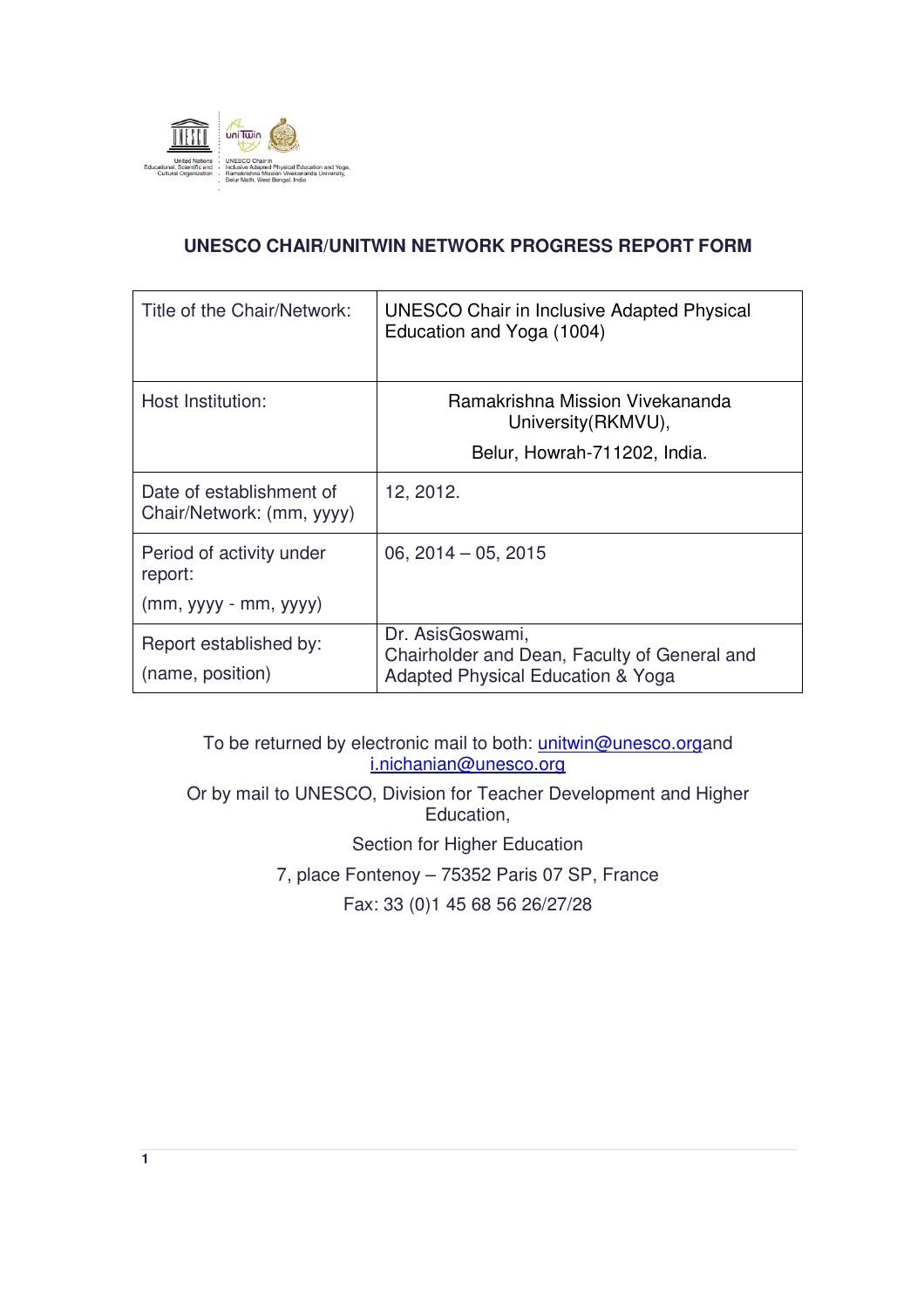

# **UNESCO CHAIR/UNITWIN NETWORK PROGRESS REPORT FORM**

| Title of the Chair/Network:                           | UNESCO Chair in Inclusive Adapted Physical<br>Education and Yoga (1004)                               |  |
|-------------------------------------------------------|-------------------------------------------------------------------------------------------------------|--|
| Host Institution:                                     | Ramakrishna Mission Vivekananda<br>University (RKMVU),                                                |  |
|                                                       | Belur, Howrah-711202, India.                                                                          |  |
| Date of establishment of<br>Chair/Network: (mm, yyyy) | 12, 2012.                                                                                             |  |
| Period of activity under<br>report:                   | 06, $2014 - 05$ , $2015$                                                                              |  |
| $(mm, yyyy - mm, yyyy)$                               |                                                                                                       |  |
| Report established by:<br>(name, position)            | Dr. AsisGoswami,<br>Chairholder and Dean, Faculty of General and<br>Adapted Physical Education & Yoga |  |

To be returned by electronic mail to both: *unitwin@unesco.organd* i.nichanian@unesco.org

Or by mail to UNESCO, Division for Teacher Development and Higher Education,

Section for Higher Education

7, place Fontenoy – 75352 Paris 07 SP, France

Fax: 33 (0)1 45 68 56 26/27/28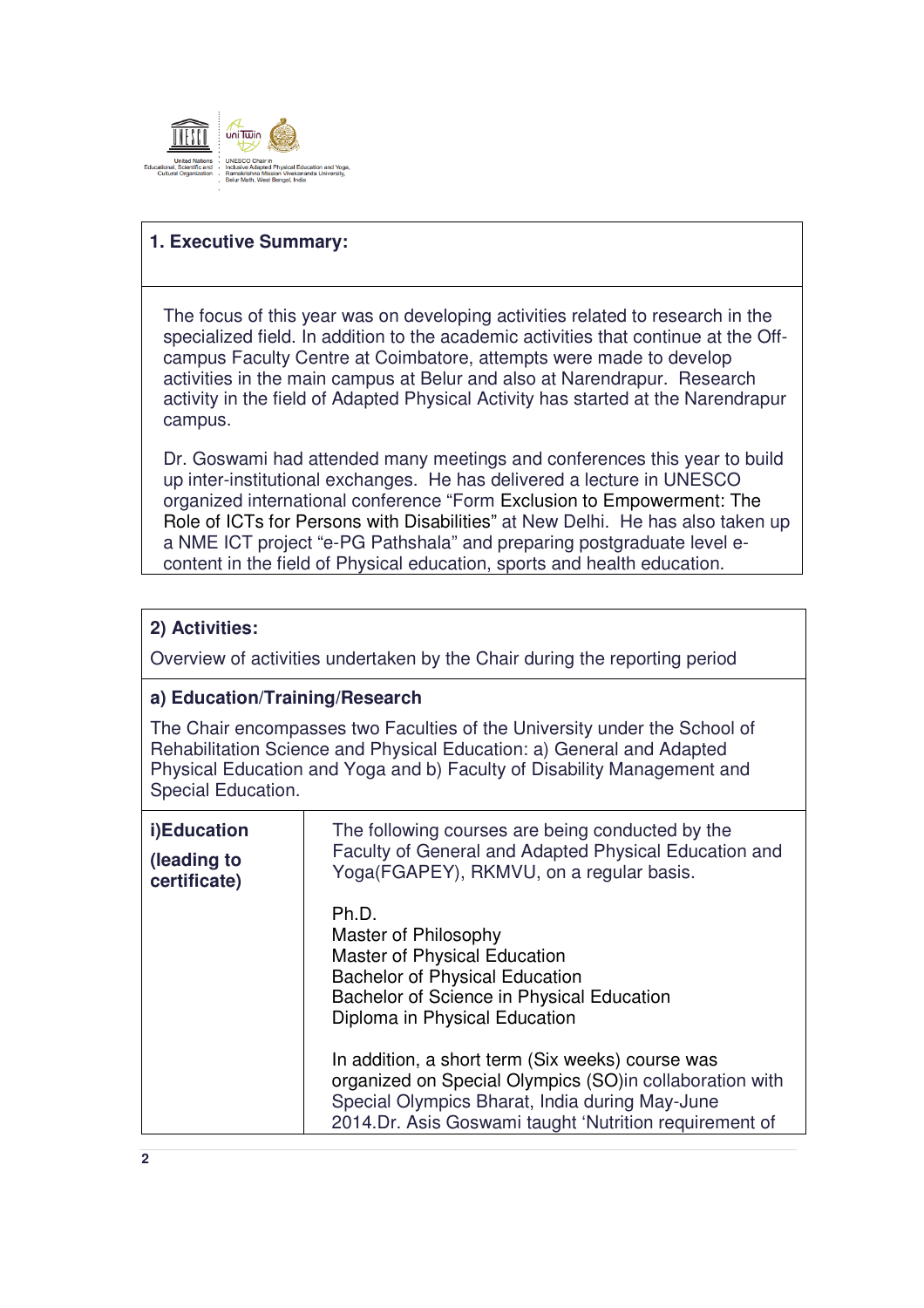

#### **1. Executive Summary:**

The focus of this year was on developing activities related to research in the specialized field. In addition to the academic activities that continue at the Offcampus Faculty Centre at Coimbatore, attempts were made to develop activities in the main campus at Belur and also at Narendrapur. Research activity in the field of Adapted Physical Activity has started at the Narendrapur campus.

Dr. Goswami had attended many meetings and conferences this year to build up inter-institutional exchanges. He has delivered a lecture in UNESCO organized international conference "Form Exclusion to Empowerment: The Role of ICTs for Persons with Disabilities" at New Delhi. He has also taken up a NME ICT project "e-PG Pathshala" and preparing postgraduate level econtent in the field of Physical education, sports and health education.

# **2) Activities:**  Overview of activities undertaken by the Chair during the reporting period **a) Education/Training/Research**  The Chair encompasses two Faculties of the University under the School of Rehabilitation Science and Physical Education: a) General and Adapted Physical Education and Yoga and b) Faculty of Disability Management and Special Education. **i)Education (leading to certificate)** The following courses are being conducted by the Faculty of General and Adapted Physical Education and Yoga(FGAPEY), RKMVU, on a regular basis. Ph.D. Master of Philosophy Master of Physical Education Bachelor of Physical Education Bachelor of Science in Physical Education Diploma in Physical Education In addition, a short term (Six weeks) course was organized on Special Olympics (SO)in collaboration with Special Olympics Bharat, India during May-June 2014.Dr. Asis Goswami taught 'Nutrition requirement of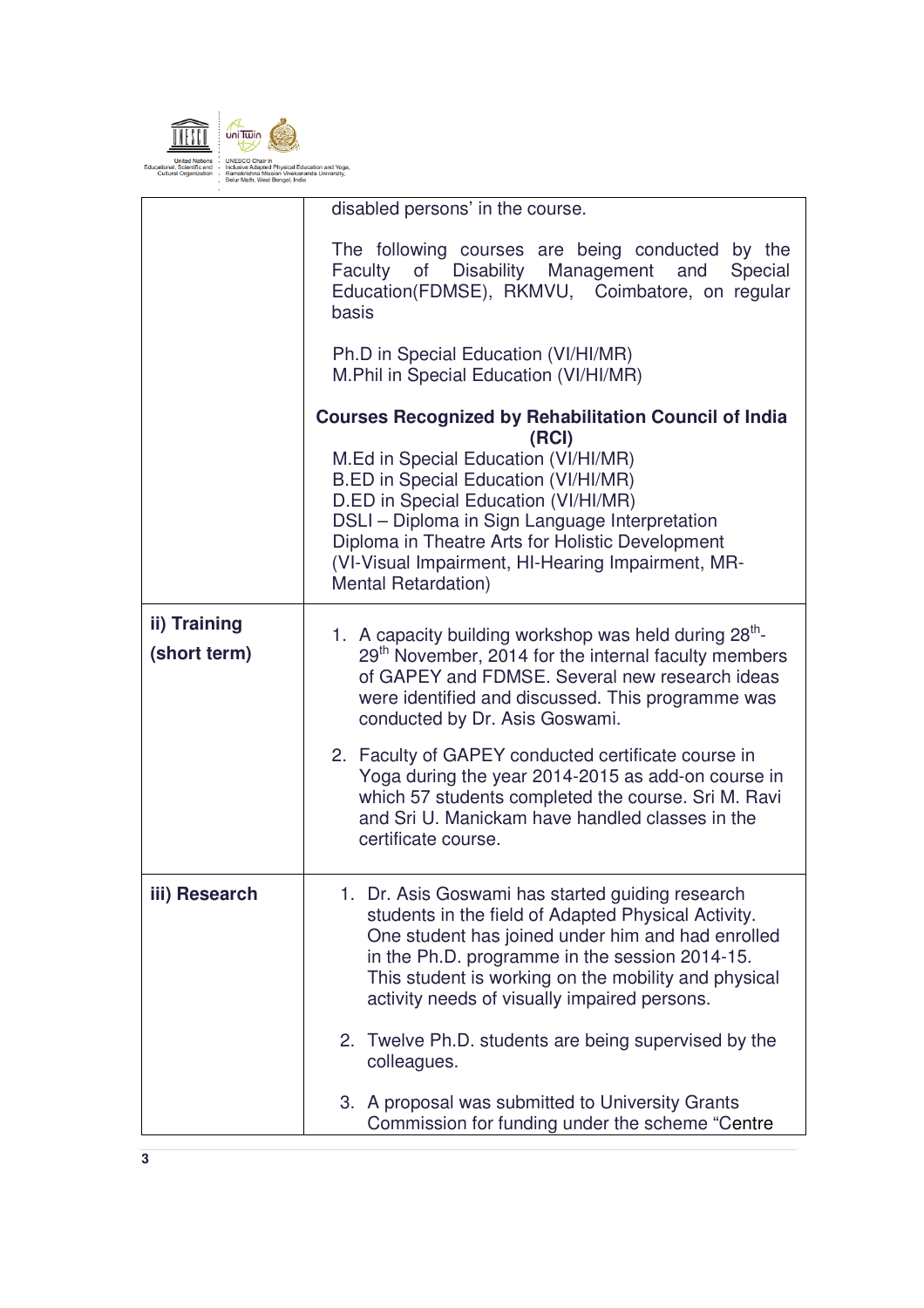

|               | disabled persons' in the course.                                                                                                                                                                                                                                                                                       |  |  |
|---------------|------------------------------------------------------------------------------------------------------------------------------------------------------------------------------------------------------------------------------------------------------------------------------------------------------------------------|--|--|
|               | The following courses are being conducted by the<br>Faculty of Disability Management and<br>Special<br>Education(FDMSE), RKMVU, Coimbatore, on regular<br>basis                                                                                                                                                        |  |  |
|               | Ph.D in Special Education (VI/HI/MR)<br>M.Phil in Special Education (VI/HI/MR)                                                                                                                                                                                                                                         |  |  |
|               | <b>Courses Recognized by Rehabilitation Council of India</b><br>(RCI)                                                                                                                                                                                                                                                  |  |  |
|               | M.Ed in Special Education (VI/HI/MR)<br>B.ED in Special Education (VI/HI/MR)<br>D.ED in Special Education (VI/HI/MR)<br>DSLI - Diploma in Sign Language Interpretation<br>Diploma in Theatre Arts for Holistic Development<br>(VI-Visual Impairment, HI-Hearing Impairment, MR-<br><b>Mental Retardation)</b>          |  |  |
| ii) Training  | 1. A capacity building workshop was held during 28 <sup>th</sup> -                                                                                                                                                                                                                                                     |  |  |
| (short term)  | 29 <sup>th</sup> November, 2014 for the internal faculty members<br>of GAPEY and FDMSE. Several new research ideas<br>were identified and discussed. This programme was<br>conducted by Dr. Asis Goswami.                                                                                                              |  |  |
|               | 2. Faculty of GAPEY conducted certificate course in<br>Yoga during the year 2014-2015 as add-on course in<br>which 57 students completed the course. Sri M. Ravi<br>and Sri U. Manickam have handled classes in the<br>certificate course.                                                                             |  |  |
| iii) Research | 1. Dr. Asis Goswami has started guiding research<br>students in the field of Adapted Physical Activity.<br>One student has joined under him and had enrolled<br>in the Ph.D. programme in the session 2014-15.<br>This student is working on the mobility and physical<br>activity needs of visually impaired persons. |  |  |
|               | 2. Twelve Ph.D. students are being supervised by the<br>colleagues.                                                                                                                                                                                                                                                    |  |  |
|               | 3. A proposal was submitted to University Grants<br>Commission for funding under the scheme "Centre                                                                                                                                                                                                                    |  |  |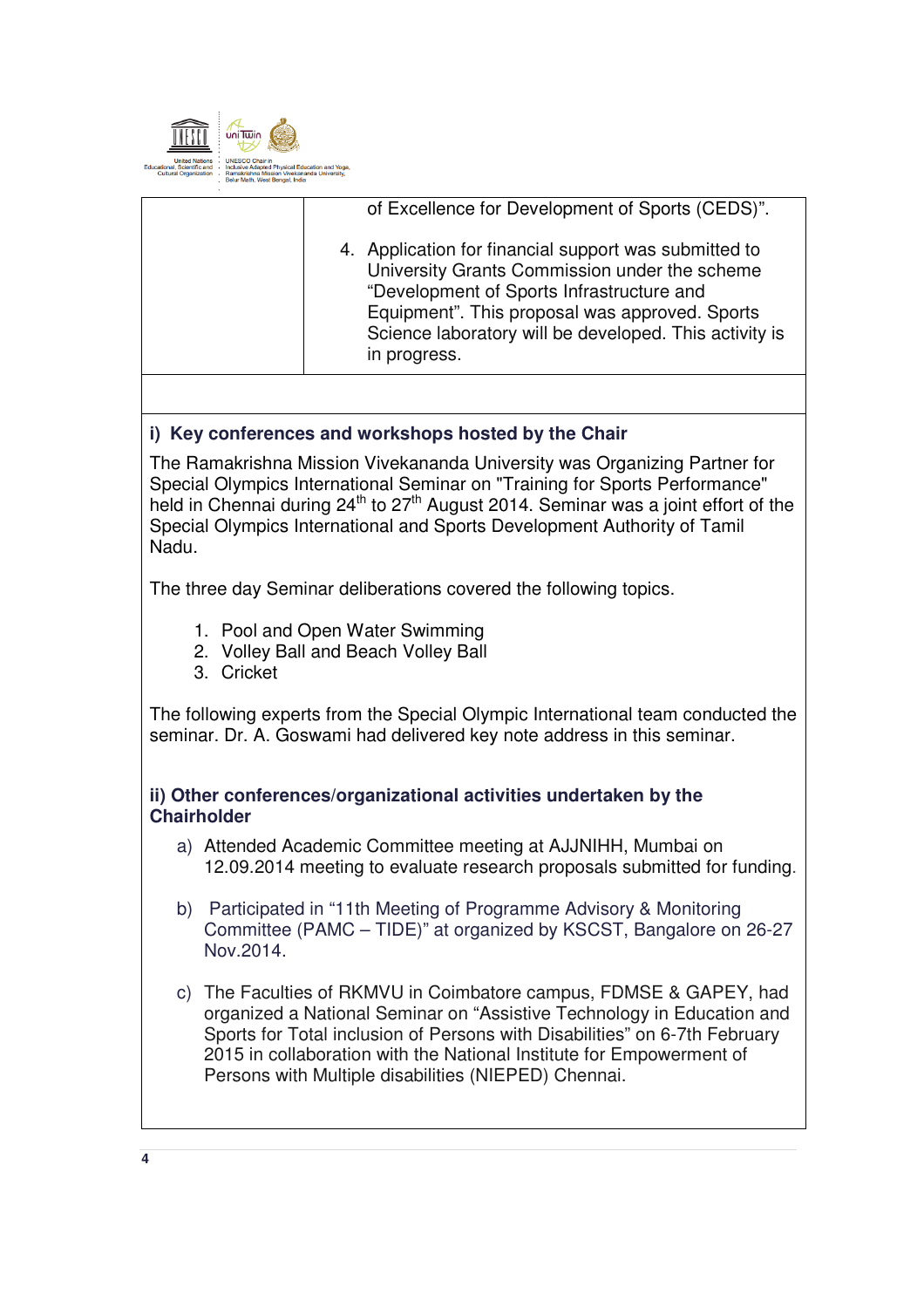

| of Excellence for Development of Sports (CEDS)".<br>4. Application for financial support was submitted to<br>University Grants Commission under the scheme<br>"Development of Sports Infrastructure and<br>Equipment". This proposal was approved. Sports<br>Science laboratory will be developed. This activity is<br>in progress. |  |
|-------------------------------------------------------------------------------------------------------------------------------------------------------------------------------------------------------------------------------------------------------------------------------------------------------------------------------------|--|
|                                                                                                                                                                                                                                                                                                                                     |  |
|                                                                                                                                                                                                                                                                                                                                     |  |

# **i) Key conferences and workshops hosted by the Chair**

The Ramakrishna Mission Vivekananda University was Organizing Partner for Special Olympics International Seminar on "Training for Sports Performance" held in Chennai during 24<sup>th</sup> to 27<sup>th</sup> August 2014. Seminar was a joint effort of the Special Olympics International and Sports Development Authority of Tamil Nadu.

The three day Seminar deliberations covered the following topics.

- 1. Pool and Open Water Swimming
- 2. Volley Ball and Beach Volley Ball
- 3. Cricket

The following experts from the Special Olympic International team conducted the seminar. Dr. A. Goswami had delivered key note address in this seminar.

## **ii) Other conferences/organizational activities undertaken by the Chairholder**

- a) Attended Academic Committee meeting at AJJNIHH, Mumbai on 12.09.2014 meeting to evaluate research proposals submitted for funding.
- b) Participated in "11th Meeting of Programme Advisory & Monitoring Committee (PAMC – TIDE)" at organized by KSCST, Bangalore on 26-27 Nov.2014.
- c) The Faculties of RKMVU in Coimbatore campus, FDMSE & GAPEY, had organized a National Seminar on "Assistive Technology in Education and Sports for Total inclusion of Persons with Disabilities" on 6-7th February 2015 in collaboration with the National Institute for Empowerment of Persons with Multiple disabilities (NIEPED) Chennai.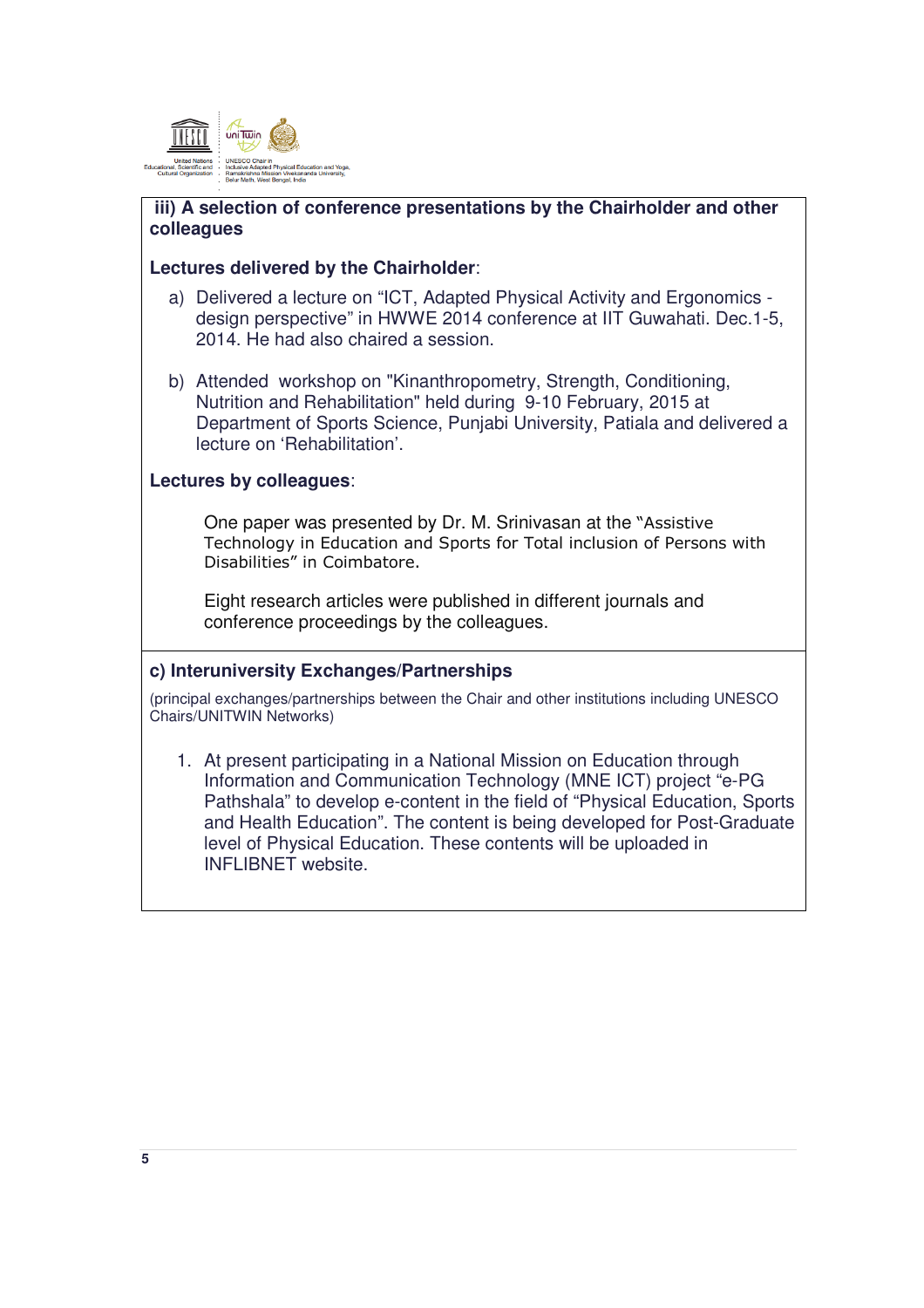

## **iii) A selection of conference presentations by the Chairholder and other colleagues**

#### **Lectures delivered by the Chairholder**:

- a) Delivered a lecture on "ICT, Adapted Physical Activity and Ergonomics design perspective" in HWWE 2014 conference at IIT Guwahati. Dec.1-5, 2014. He had also chaired a session.
- b) Attended workshop on "Kinanthropometry, Strength, Conditioning, Nutrition and Rehabilitation" held during 9-10 February, 2015 at Department of Sports Science, Punjabi University, Patiala and delivered a lecture on 'Rehabilitation'.

## **Lectures by colleagues**:

One paper was presented by Dr. M. Srinivasan at the "Assistive Technology in Education and Sports for Total inclusion of Persons with Disabilities" in Coimbatore.

Eight research articles were published in different journals and conference proceedings by the colleagues.

#### **c) Interuniversity Exchanges/Partnerships**

(principal exchanges/partnerships between the Chair and other institutions including UNESCO Chairs/UNITWIN Networks)

1. At present participating in a National Mission on Education through Information and Communication Technology (MNE ICT) project "e-PG Pathshala" to develop e-content in the field of "Physical Education, Sports and Health Education". The content is being developed for Post-Graduate level of Physical Education. These contents will be uploaded in INFLIBNET website.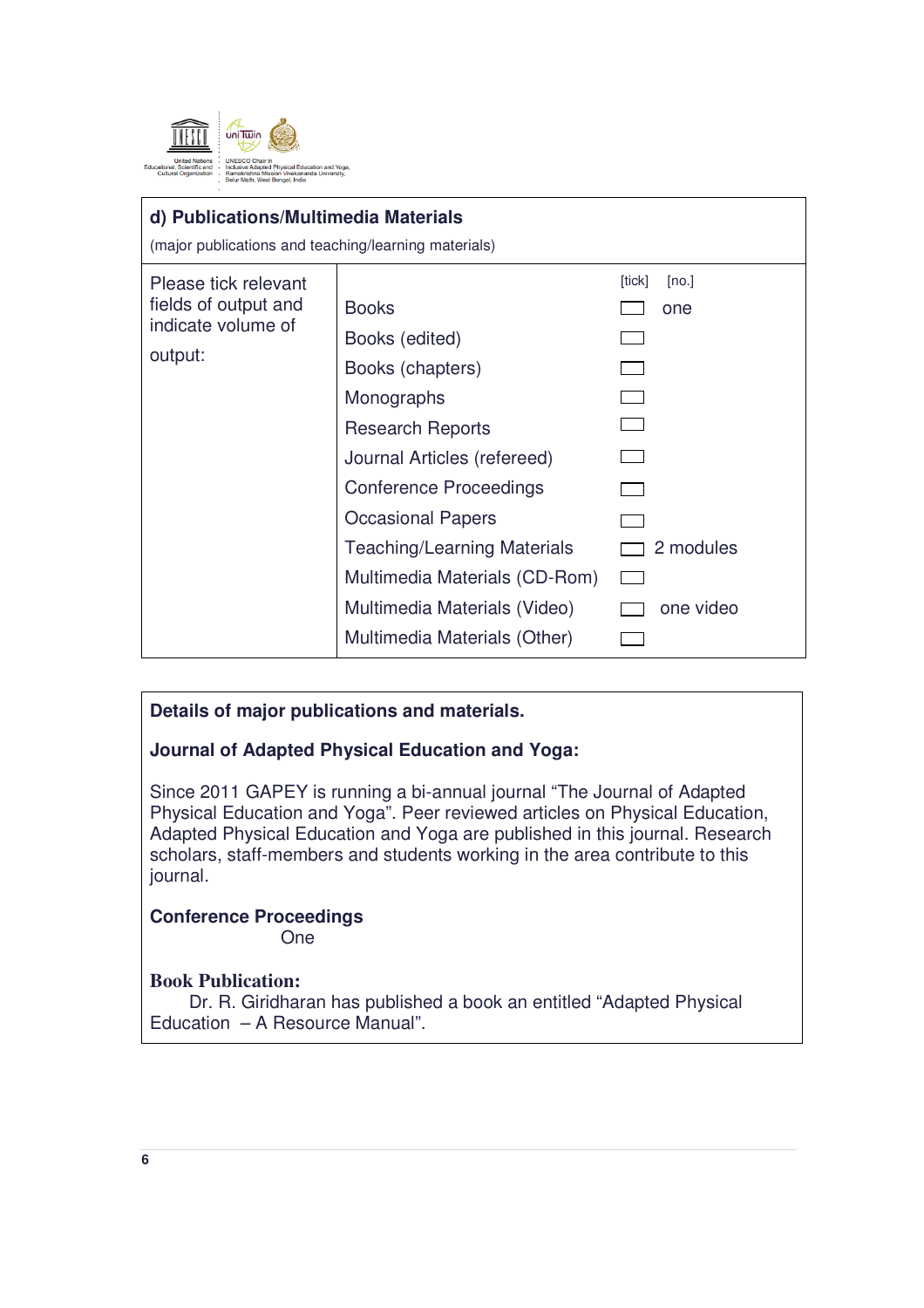

#### **d) Publications/Multimedia Materials**

(major publications and teaching/learning materials)

| Please tick relevant<br>fields of output and<br>indicate volume of<br>output: | <b>Books</b><br>Books (edited)<br>Books (chapters)<br>Monographs<br><b>Research Reports</b><br>Journal Articles (refereed)<br><b>Conference Proceedings</b><br><b>Occasional Papers</b><br><b>Teaching/Learning Materials</b><br>Multimedia Materials (CD-Rom)<br>Multimedia Materials (Video) | [tick]<br>[no.]<br>one<br>2 modules<br>one video |
|-------------------------------------------------------------------------------|------------------------------------------------------------------------------------------------------------------------------------------------------------------------------------------------------------------------------------------------------------------------------------------------|--------------------------------------------------|
|                                                                               | Multimedia Materials (Other)                                                                                                                                                                                                                                                                   |                                                  |
|                                                                               |                                                                                                                                                                                                                                                                                                |                                                  |

## **Details of major publications and materials.**

## **Journal of Adapted Physical Education and Yoga:**

Since 2011 GAPEY is running a bi-annual journal "The Journal of Adapted Physical Education and Yoga". Peer reviewed articles on Physical Education, Adapted Physical Education and Yoga are published in this journal. Research scholars, staff-members and students working in the area contribute to this journal.

# **Conference Proceedings**

One

## **Book Publication:**

 Dr. R. Giridharan has published a book an entitled "Adapted Physical Education – A Resource Manual".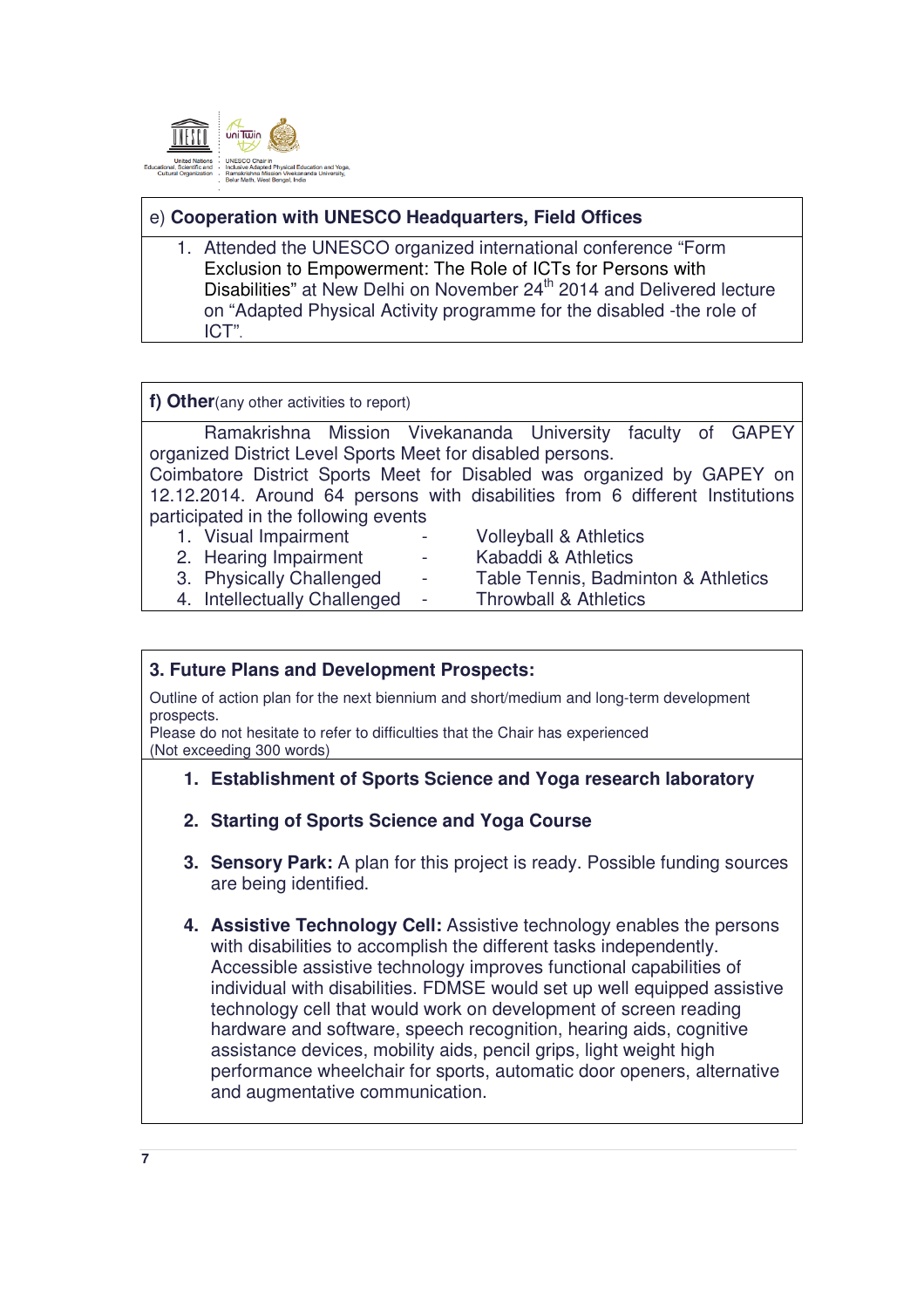

# e) **Cooperation with UNESCO Headquarters, Field Offices**

1. Attended the UNESCO organized international conference "Form Exclusion to Empowerment: The Role of ICTs for Persons with Disabilities" at New Delhi on November 24<sup>th</sup> 2014 and Delivered lecture on "Adapted Physical Activity programme for the disabled -the role of ICT".

**f) Other**(any other activities to report)

Ramakrishna Mission Vivekananda University faculty of GAPEY organized District Level Sports Meet for disabled persons.

Coimbatore District Sports Meet for Disabled was organized by GAPEY on 12.12.2014. Around 64 persons with disabilities from 6 different Institutions participated in the following events

1. Visual Impairment - Volleyball & Athletics 2. Hearing Impairment - Kabaddi & Athletics 3. Physically Challenged - Table Tennis, Badminton & Athletics 4. Intellectually Challenged - Throwball & Athletics

#### **3. Future Plans and Development Prospects:**

Outline of action plan for the next biennium and short/medium and long-term development prospects.

Please do not hesitate to refer to difficulties that the Chair has experienced (Not exceeding 300 words)

## **1. Establishment of Sports Science and Yoga research laboratory**

- **2. Starting of Sports Science and Yoga Course**
- **3. Sensory Park:** A plan for this project is ready. Possible funding sources are being identified.
- **4. Assistive Technology Cell:** Assistive technology enables the persons with disabilities to accomplish the different tasks independently. Accessible assistive technology improves functional capabilities of individual with disabilities. FDMSE would set up well equipped assistive technology cell that would work on development of screen reading hardware and software, speech recognition, hearing aids, cognitive assistance devices, mobility aids, pencil grips, light weight high performance wheelchair for sports, automatic door openers, alternative and augmentative communication.